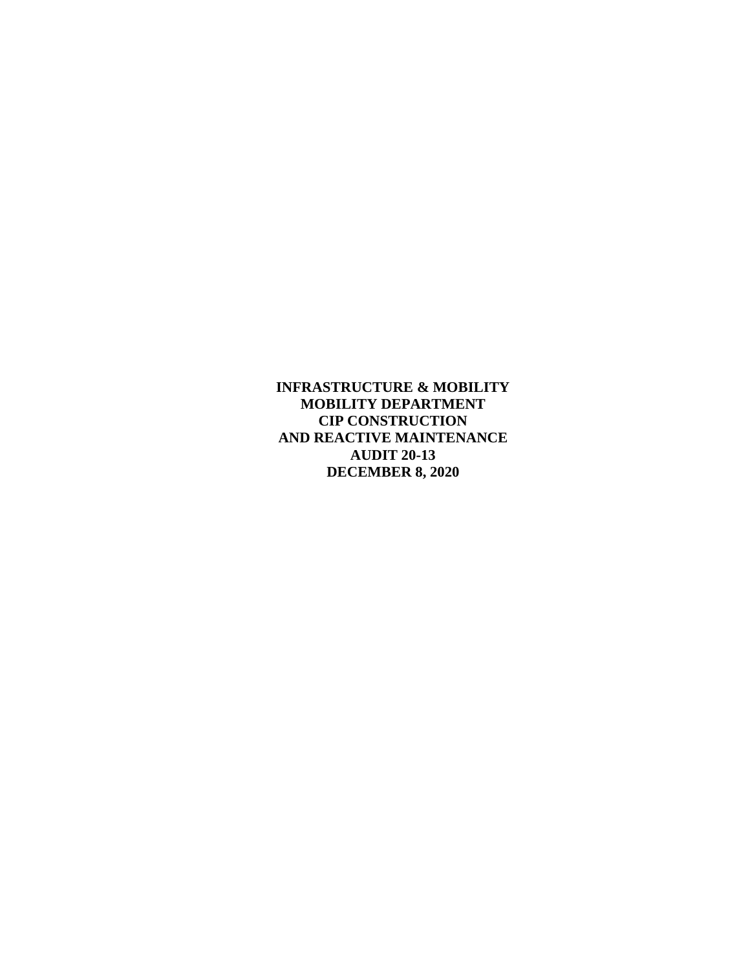**INFRASTRUCTURE & MOBILITY MOBILITY DEPARTMENT CIP CONSTRUCTION AND REACTIVE MAINTENANCE AUDIT 20-13 DECEMBER 8, 2020**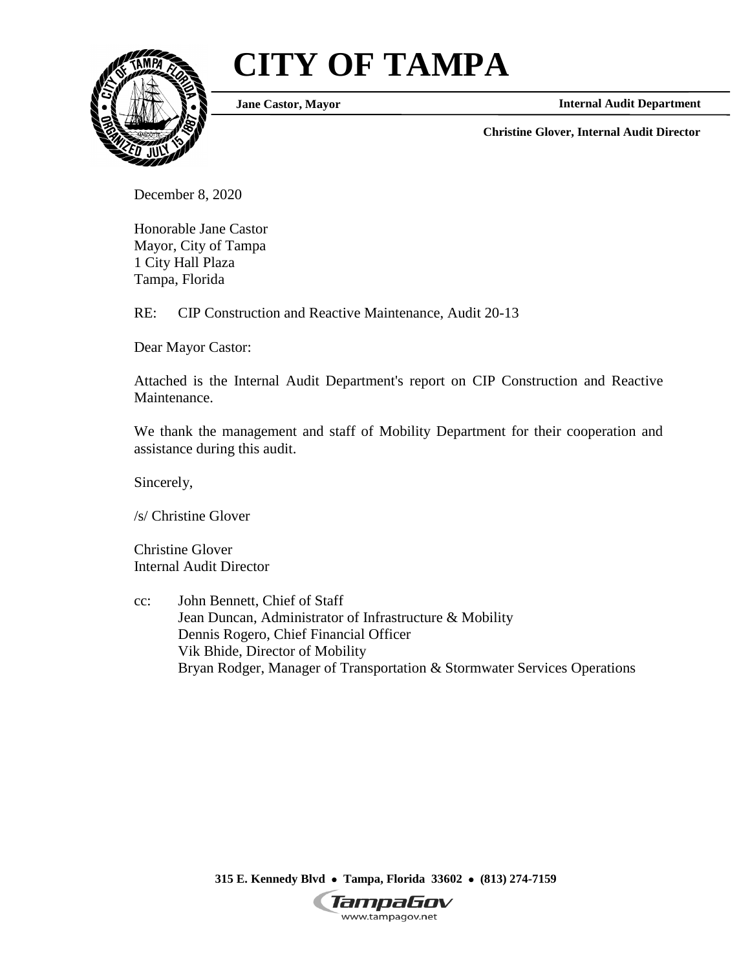# **CITY OF TAMPA**



**Jane Castor, Mayor**

**Internal Audit Department**

**Christine Glover, Internal Audit Director**

December 8, 2020

Honorable Jane Castor Mayor, City of Tampa 1 City Hall Plaza Tampa, Florida

RE: CIP Construction and Reactive Maintenance, Audit 20-13

Dear Mayor Castor:

Attached is the Internal Audit Department's report on CIP Construction and Reactive Maintenance.

We thank the management and staff of Mobility Department for their cooperation and assistance during this audit.

Sincerely,

/s/ Christine Glover

Christine Glover Internal Audit Director

cc: John Bennett, Chief of Staff Jean Duncan, Administrator of Infrastructure & Mobility Dennis Rogero, Chief Financial Officer Vik Bhide, Director of Mobility Bryan Rodger, Manager of Transportation & Stormwater Services Operations

> **315 E. Kennedy Blvd Tampa, Florida 33602 (813) 274-7159** TampaGov

www.tampagov.net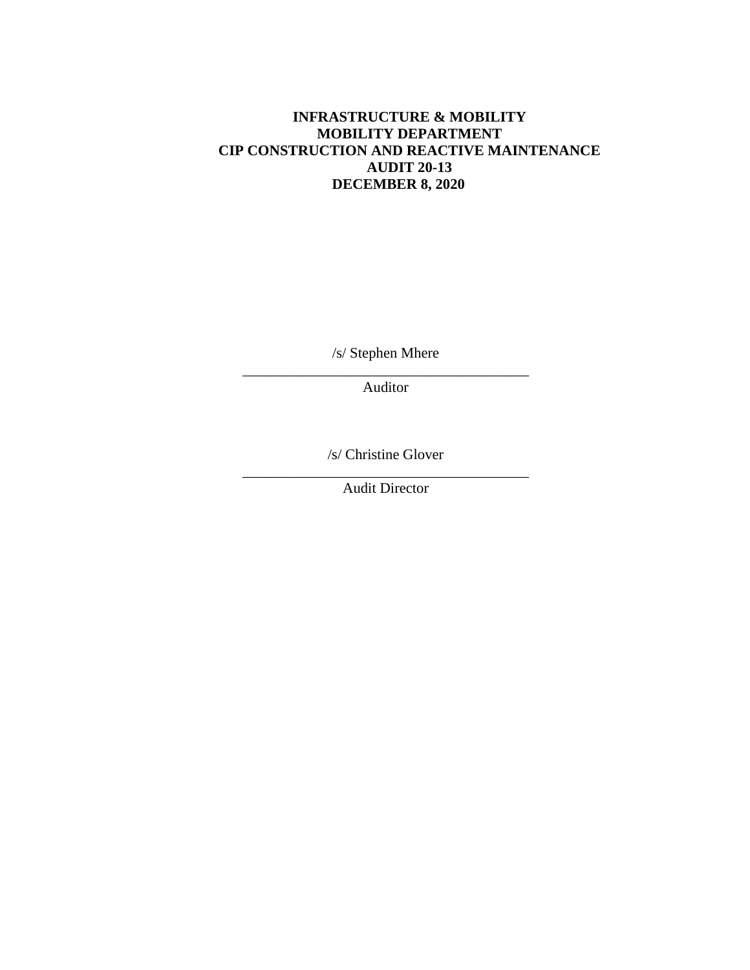# **INFRASTRUCTURE & MOBILITY MOBILITY DEPARTMENT CIP CONSTRUCTION AND REACTIVE MAINTENANCE AUDIT 20-13 DECEMBER 8, 2020**

/s/ Stephen Mhere \_\_\_\_\_\_\_\_\_\_\_\_\_\_\_\_\_\_\_\_\_\_\_\_\_\_\_\_\_\_\_\_\_\_\_\_\_\_\_

Auditor

/s/ Christine Glover \_\_\_\_\_\_\_\_\_\_\_\_\_\_\_\_\_\_\_\_\_\_\_\_\_\_\_\_\_\_\_\_\_\_\_\_\_\_\_

Audit Director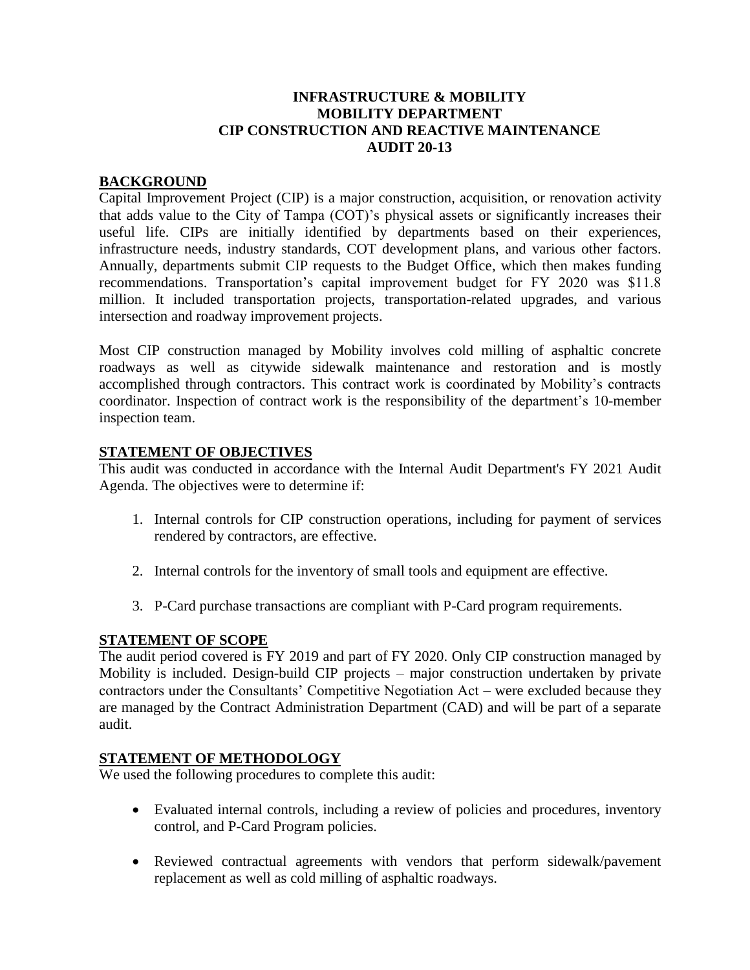## **INFRASTRUCTURE & MOBILITY MOBILITY DEPARTMENT CIP CONSTRUCTION AND REACTIVE MAINTENANCE AUDIT 20-13**

## **BACKGROUND**

Capital Improvement Project (CIP) is a major construction, acquisition, or renovation activity that adds value to the City of Tampa (COT)'s physical assets or significantly increases their useful life. CIPs are initially identified by departments based on their experiences, infrastructure needs, industry standards, COT development plans, and various other factors. Annually, departments submit CIP requests to the Budget Office, which then makes funding recommendations. Transportation's capital improvement budget for FY 2020 was \$11.8 million. It included transportation projects, transportation-related upgrades, and various intersection and roadway improvement projects.

Most CIP construction managed by Mobility involves cold milling of asphaltic concrete roadways as well as citywide sidewalk maintenance and restoration and is mostly accomplished through contractors. This contract work is coordinated by Mobility's contracts coordinator. Inspection of contract work is the responsibility of the department's 10-member inspection team.

#### **STATEMENT OF OBJECTIVES**

This audit was conducted in accordance with the Internal Audit Department's FY 2021 Audit Agenda. The objectives were to determine if:

- 1. Internal controls for CIP construction operations, including for payment of services rendered by contractors, are effective.
- 2. Internal controls for the inventory of small tools and equipment are effective.
- 3. P-Card purchase transactions are compliant with P-Card program requirements.

# **STATEMENT OF SCOPE**

The audit period covered is FY 2019 and part of FY 2020. Only CIP construction managed by Mobility is included. Design-build CIP projects – major construction undertaken by private contractors under the Consultants' Competitive Negotiation Act – were excluded because they are managed by the Contract Administration Department (CAD) and will be part of a separate audit.

#### **STATEMENT OF METHODOLOGY**

We used the following procedures to complete this audit:

- Evaluated internal controls, including a review of policies and procedures, inventory control, and P-Card Program policies.
- Reviewed contractual agreements with vendors that perform sidewalk/pavement replacement as well as cold milling of asphaltic roadways.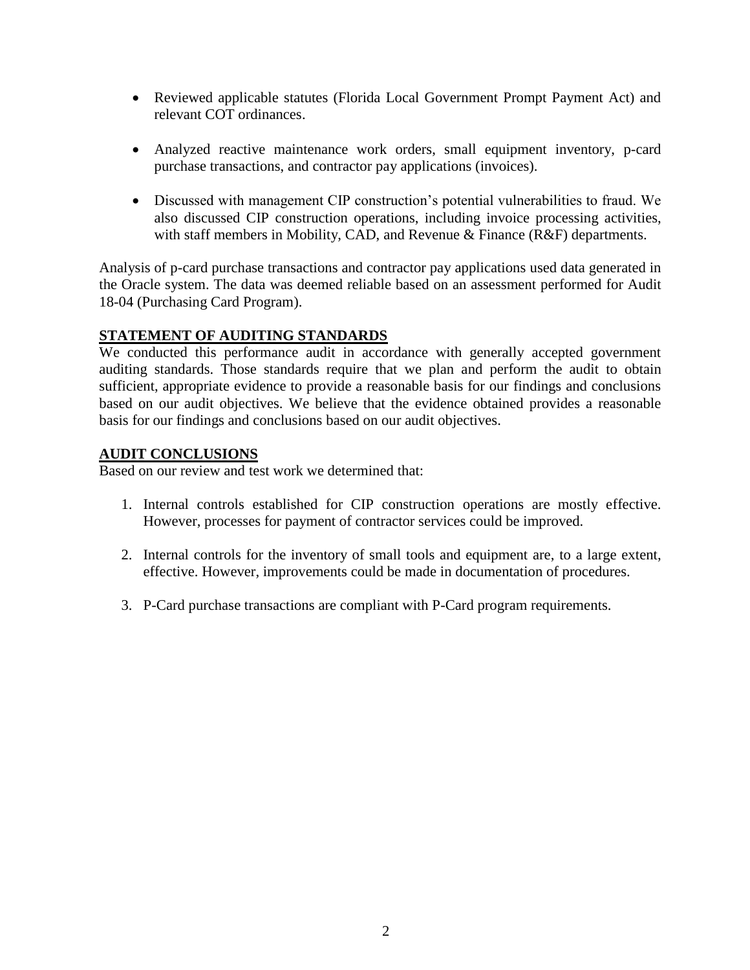- Reviewed applicable statutes (Florida Local Government Prompt Payment Act) and relevant COT ordinances.
- Analyzed reactive maintenance work orders, small equipment inventory, p-card purchase transactions, and contractor pay applications (invoices).
- Discussed with management CIP construction's potential vulnerabilities to fraud. We also discussed CIP construction operations, including invoice processing activities, with staff members in Mobility, CAD, and Revenue & Finance (R&F) departments.

Analysis of p-card purchase transactions and contractor pay applications used data generated in the Oracle system. The data was deemed reliable based on an assessment performed for Audit 18-04 (Purchasing Card Program).

## **STATEMENT OF AUDITING STANDARDS**

We conducted this performance audit in accordance with generally accepted government auditing standards. Those standards require that we plan and perform the audit to obtain sufficient, appropriate evidence to provide a reasonable basis for our findings and conclusions based on our audit objectives. We believe that the evidence obtained provides a reasonable basis for our findings and conclusions based on our audit objectives.

## **AUDIT CONCLUSIONS**

Based on our review and test work we determined that:

- 1. Internal controls established for CIP construction operations are mostly effective. However, processes for payment of contractor services could be improved.
- 2. Internal controls for the inventory of small tools and equipment are, to a large extent, effective. However, improvements could be made in documentation of procedures.
- 3. P-Card purchase transactions are compliant with P-Card program requirements.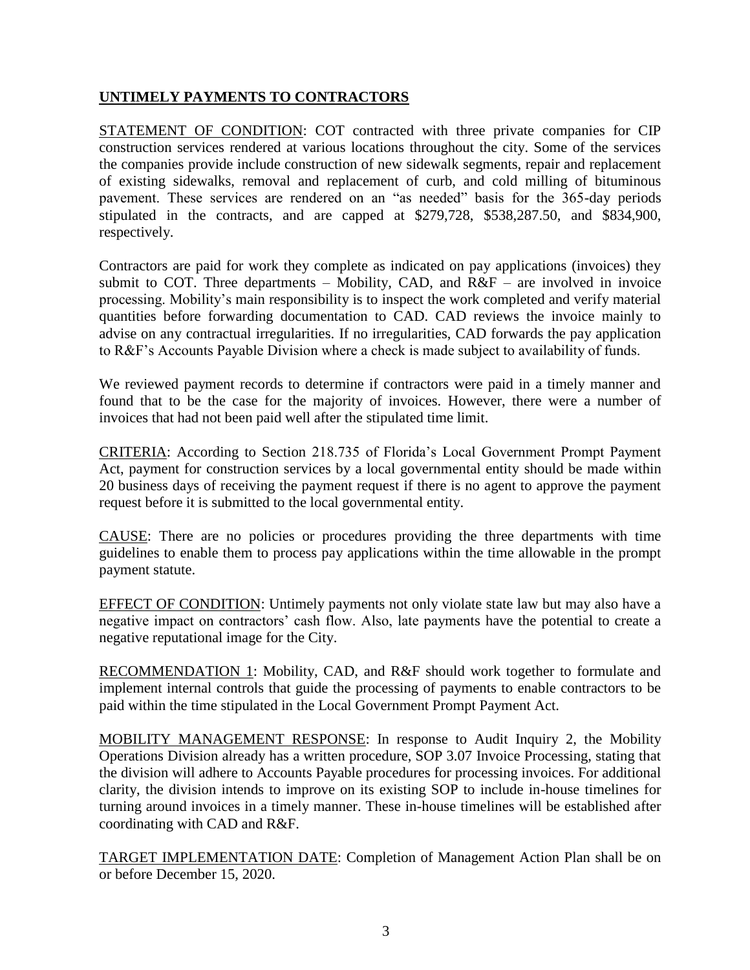# **UNTIMELY PAYMENTS TO CONTRACTORS**

STATEMENT OF CONDITION: COT contracted with three private companies for CIP construction services rendered at various locations throughout the city. Some of the services the companies provide include construction of new sidewalk segments, repair and replacement of existing sidewalks, removal and replacement of curb, and cold milling of bituminous pavement. These services are rendered on an "as needed" basis for the 365-day periods stipulated in the contracts, and are capped at \$279,728, \$538,287.50, and \$834,900, respectively.

Contractors are paid for work they complete as indicated on pay applications (invoices) they submit to COT. Three departments – Mobility, CAD, and  $R\&F$  – are involved in invoice processing. Mobility's main responsibility is to inspect the work completed and verify material quantities before forwarding documentation to CAD. CAD reviews the invoice mainly to advise on any contractual irregularities. If no irregularities, CAD forwards the pay application to R&F's Accounts Payable Division where a check is made subject to availability of funds.

We reviewed payment records to determine if contractors were paid in a timely manner and found that to be the case for the majority of invoices. However, there were a number of invoices that had not been paid well after the stipulated time limit.

CRITERIA: According to Section 218.735 of Florida's Local Government Prompt Payment Act, payment for construction services by a local governmental entity should be made within 20 business days of receiving the payment request if there is no agent to approve the payment request before it is submitted to the local governmental entity.

CAUSE: There are no policies or procedures providing the three departments with time guidelines to enable them to process pay applications within the time allowable in the prompt payment statute.

EFFECT OF CONDITION: Untimely payments not only violate state law but may also have a negative impact on contractors' cash flow. Also, late payments have the potential to create a negative reputational image for the City.

RECOMMENDATION 1: Mobility, CAD, and R&F should work together to formulate and implement internal controls that guide the processing of payments to enable contractors to be paid within the time stipulated in the Local Government Prompt Payment Act.

MOBILITY MANAGEMENT RESPONSE: In response to Audit Inquiry 2, the Mobility Operations Division already has a written procedure, SOP 3.07 Invoice Processing, stating that the division will adhere to Accounts Payable procedures for processing invoices. For additional clarity, the division intends to improve on its existing SOP to include in-house timelines for turning around invoices in a timely manner. These in-house timelines will be established after coordinating with CAD and R&F.

TARGET IMPLEMENTATION DATE: Completion of Management Action Plan shall be on or before December 15, 2020.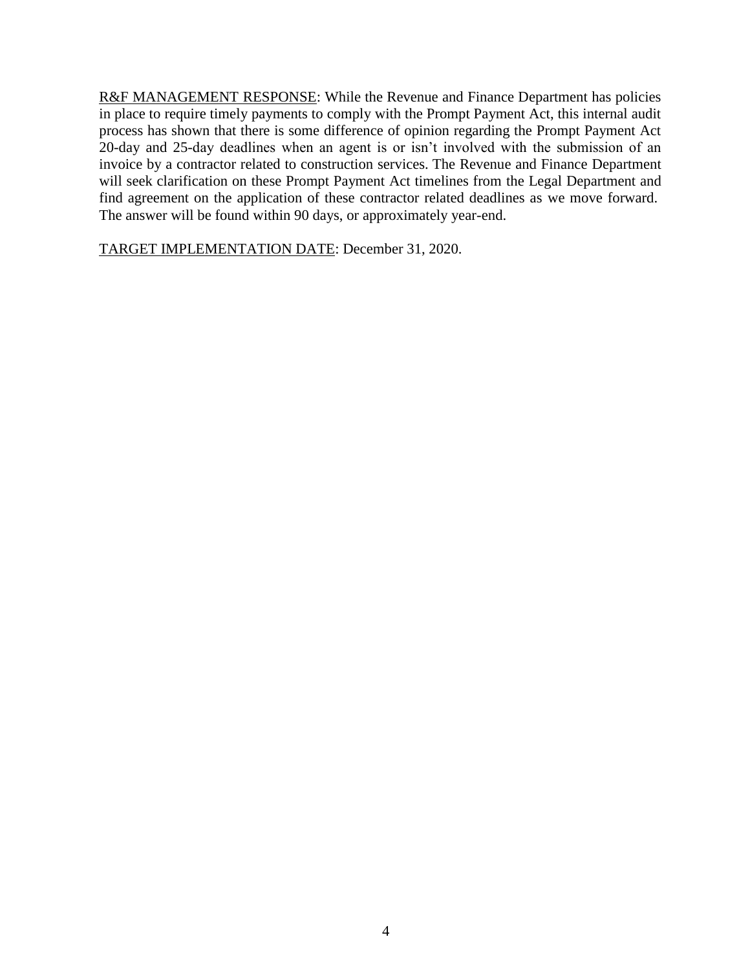R&F MANAGEMENT RESPONSE: While the Revenue and Finance Department has policies in place to require timely payments to comply with the Prompt Payment Act, this internal audit process has shown that there is some difference of opinion regarding the Prompt Payment Act 20-day and 25-day deadlines when an agent is or isn't involved with the submission of an invoice by a contractor related to construction services. The Revenue and Finance Department will seek clarification on these Prompt Payment Act timelines from the Legal Department and find agreement on the application of these contractor related deadlines as we move forward. The answer will be found within 90 days, or approximately year-end.

TARGET IMPLEMENTATION DATE: December 31, 2020.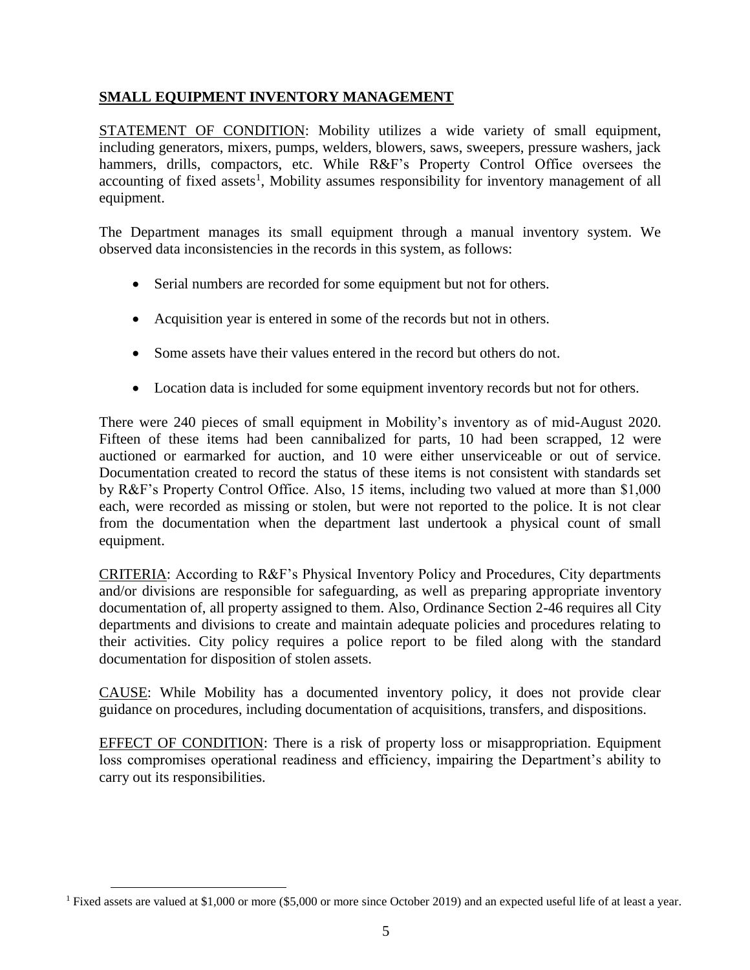# **SMALL EQUIPMENT INVENTORY MANAGEMENT**

STATEMENT OF CONDITION: Mobility utilizes a wide variety of small equipment, including generators, mixers, pumps, welders, blowers, saws, sweepers, pressure washers, jack hammers, drills, compactors, etc. While R&F's Property Control Office oversees the accounting of fixed assets<sup>1</sup>, Mobility assumes responsibility for inventory management of all equipment.

The Department manages its small equipment through a manual inventory system. We observed data inconsistencies in the records in this system, as follows:

- Serial numbers are recorded for some equipment but not for others.
- Acquisition year is entered in some of the records but not in others.
- Some assets have their values entered in the record but others do not.
- Location data is included for some equipment inventory records but not for others.

There were 240 pieces of small equipment in Mobility's inventory as of mid-August 2020. Fifteen of these items had been cannibalized for parts, 10 had been scrapped, 12 were auctioned or earmarked for auction, and 10 were either unserviceable or out of service. Documentation created to record the status of these items is not consistent with standards set by R&F's Property Control Office. Also, 15 items, including two valued at more than \$1,000 each, were recorded as missing or stolen, but were not reported to the police. It is not clear from the documentation when the department last undertook a physical count of small equipment.

CRITERIA: According to R&F's Physical Inventory Policy and Procedures, City departments and/or divisions are responsible for safeguarding, as well as preparing appropriate inventory documentation of, all property assigned to them. Also, Ordinance Section 2-46 requires all City departments and divisions to create and maintain adequate policies and procedures relating to their activities. City policy requires a police report to be filed along with the standard documentation for disposition of stolen assets.

CAUSE: While Mobility has a documented inventory policy, it does not provide clear guidance on procedures, including documentation of acquisitions, transfers, and dispositions.

EFFECT OF CONDITION: There is a risk of property loss or misappropriation. Equipment loss compromises operational readiness and efficiency, impairing the Department's ability to carry out its responsibilities.

 $\overline{a}$ 

<sup>1</sup> Fixed assets are valued at \$1,000 or more (\$5,000 or more since October 2019) and an expected useful life of at least a year.